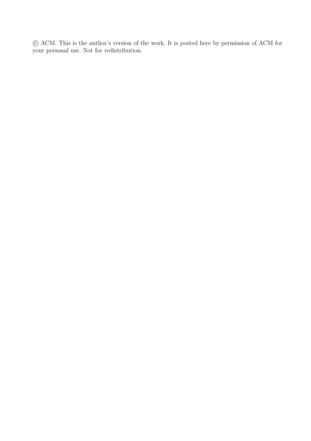c ACM. This is the author's version of the work. It is posted here by permission of ACM for your personal use. Not for redistribution.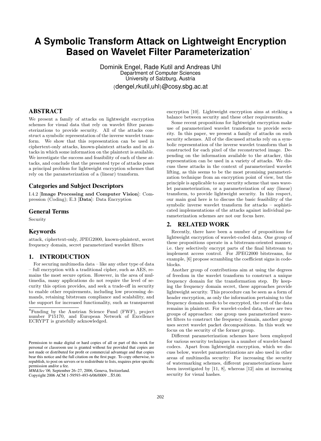# **A Symbolic Transform Attack on Lightweight Encryption Based on Wavelet Filter Parameterization**<sup>∗</sup>

Dominik Engel, Rade Kutil and Andreas Uhl Department of Computer Sciences University of Salzburg, Austria {dengel,rkutil,uhl}@cosy.sbg.ac.at

# ABSTRACT

We present a family of attacks on lightweight encryption schemes for visual data that rely on wavelet filter parameterizations to provide security. All of the attacks construct a symbolic representation of the inverse wavelet transform. We show that this representation can be used in ciphertext-only attacks, known-plaintext attacks and in attacks in which some information on the plaintext is available. We investigate the success and feasibility of each of these attacks, and conclude that the presented type of attacks poses a principal problem for lightweight encryption schemes that rely on the parameterization of a (linear) transform.

# Categories and Subject Descriptors

I.4.2 [Image Processing and Computer Vision]: Compression (Coding); E.3 [Data]: Data Encryption

## General Terms

Security

## Keywords

attack, ciphertext-only, JPEG2000, known-plaintext, secret frequency domain, secret parameterized wavelet filters

## 1. INTRODUCTION

For securing multimedia data – like any other type of data – full encryption with a traditional cipher, such as AES, remains the most secure option. However, in the area of multimedia, many applications do not require the level of security this option provides, and seek a trade-off in security to enable other requirements, including low processing demands, retaining bitstream compliance and scalability, and the support for increased functionality, such as transparent

*MM&Sec'06,* September 26–27, 2006, Geneva, Switzerland.

Copyright 2006 ACM 1-59593-493-6/06/0009 ...\$5.00.

encryption [10]. Lightweight encryption aims at striking a balance between security and these other requirements.

Some recent propositions for lightweight encryption make use of parameterized wavelet transforms to provide security. In this paper, we present a family of attacks on such security schemes. All of the discussed attacks rely on a symbolic representation of the inverse wavelet transform that is constructed for each pixel of the reconstructed image. Depending on the information available to the attacker, this representation can be used in a variety of attacks. We discuss these attacks in the context of parameterized wavelet lifting, as this seems to be the most promising parameterization technique from an encryption point of view, but the principle is applicable to any security scheme that uses wavelet parameterization, or a parameterization of any (linear) transform, to provide lightweight security. In this respect, our main goal here is to discuss the basic feasibility of the symbolic inverse wavelet transform for attacks – sophisticated implementations of the attacks against individual parameterization schemes are not our focus here.

## 2. RELATED WORK

Recently, there have been a number of propositions for lightweight encryption of wavelet-coded data. One group of these propositions operate in a bitstream-oriented manner, i.e. they selectively encrypt parts of the final bitstream to implement access control. For JPEG2000 bitstreams, for example, [6] propose scrambling the coefficient signs in codeblocks.

Another group of contributions aim at using the degrees of freedom in the wavelet transform to construct a unique frequency domain for the transformation step. By keeping the frequency domain secret, these approaches provide lightweight security. This procedure can be seen as a form of header encryption, as only the information pertaining to the frequency domain needs to be encrypted, the rest of the data remains in plaintext. For wavelet-coded data, there are two groups of approaches: one group uses parameterized wavelet filters to construct the frequency domain, another group uses secret wavelet packet decompositions. In this work we focus on the security of the former group.

Different parameterization schemes have been employed for various security techniques in a number of wavelet-based codecs. Apart from lightweight encryption, which we discuss below, wavelet parameterizations are also used in other areas of multimedia security: For increasing the security of watermarking schemes, different parameterizations have been investigated by [11, 8], whereas [12] aim at increasing security for visual hashes.

<sup>∗</sup>Funding by the Austrian Science Fund (FWF), project P15170, and European Network of Excellence ECRYPT is gratefully acknowledged.

Permission to make digital or hard copies of all or part of this work for personal or classroom use is granted without fee provided that copies are not made or distributed for profit or commercial advantage and that copies bear this notice and the full citation on the first page. To copy otherwise, to republish, to post on servers or to redistribute to lists, requires prior specific permission and/or a fee.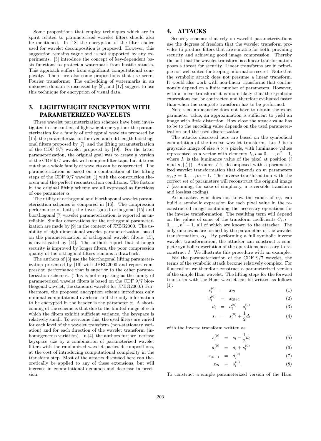Some propositions that employ techniques which are in spirit related to parameterized wavelet filters should also be mentioned. In [18] the encryption of the filter choice used for wavelet decomposition is proposed. However, this suggestion remains vague and is not supported by any experiments. [5] introduce the concept of key-dependent basis functions to protect a watermark from hostile attacks. This approach suffers from significant computational complexity. There are also some propositions that use secret Fourier transforms: The embedding of watermarks in an unknown domain is discussed by [2], and [17] suggest to use this technique for encryption of visual data.

# 3. LIGHTWEIGHT ENCRYPTION WITH PARAMETERIZED WAVELETS

Three wavelet parameterization schemes have been investigated in the context of lightweight encryption: the parameterization for a family of orthogonal wavelets proposed by [15], the parameterization for even and odd length biorthogonal filters proposed by [7], and the lifting parameterization of the CDF 9/7 wavelet proposed by [19]. For the latter parameterization, the original goal was to create a version of the CDF 9/7 wavelet with simpler filter taps, but it turns out that a whole family of wavelets can be constructed. The parameterization is based on a combination of the lifting steps of the CDF 9/7 wavelet [1] with the construction theorem and the perfect reconstruction conditions. The factors in the original lifting scheme are all expressed as functions of one parameter  $\alpha$ .

The utility of orthogonal and biorthogonal wavelet parameterization schemes is compared in [16]. The compression performance of both, the investigated orthogonal [15] and biorthogonal [7] wavelet parameterization, is reported as unreliable. Similar observations for the orthogonal parameterization are made by [9] in the context of JPEG2000. The usability of high-dimensional wavelet parameterization, based on the parameterization of orthogonal wavelet filters [15], is investigated by [14]. The authors report that although security is improved by longer filters, the poor compression quality of the orthogonal filters remains a drawback.

The authors of [3] use the biorthogonal lifting parameterization presented by [19] with JPEG2000 and report compression performance that is superior to the other parameterization schemes. (This is not surprising as the family of parameterized wavelet filters is based on the CDF 9/7 biorthogonal wavelet, the standard wavelet for JPEG2000.) Furthermore, the proposed encryption scheme introduces only minimal computational overhead and the only information to be encrypted in the header is the parameter  $\alpha$ . A shortcoming of the scheme is that due to the limited range of  $\alpha$  in which the filters exhibit sufficient variance, the keyspace is relatively small. To overcome this, the used filters are varied for each level of the wavelet transform (non-stationary variation) and for each direction of the wavelet transform (inhomogeneous variation). In [4], the authors further increase keyspace size by a combination of parameterized wavelet filters with the randomized wavelet packet decompositions, at the cost of introducing computational complexity in the transform step. Most of the attacks discussed here can theoretically be applied to any of these extensions, but will increase in computational demands and decrease in precision.

# 4. ATTACKS

Security schemes that rely on wavelet parameterizations use the degrees of freedom that the wavelet transform provides to produce filters that are suitable for both, providing security and achieving good image compression. Thereby the fact that the wavelet transform is a linear transformation poses a threat for security. Linear transforms are in principle not well suited for keeping information secret. Note that the symbolic attack does not presume a linear transform. It would also work with non-linear transforms that continuously depend on a finite number of parameters. However, with a linear transform it is more likely that the symbolic expressions can be contracted and therefore evaluated faster than when the complete transform has to be performed.

Note that an attacker does not have to obtain the exact parameter value, an approximation is sufficient to yield an image with little distortion. How close the attack value has to be to the encoding value depends on the used parameterization and the used discretization.

The attacks discussed here are based on the symbolical computation of the inverse wavelet transform. Let  $I$  be a grayscale image of size  $n \times n$  pixels, with luminance values represented as a vector with elements  $I_i, i = 0, \ldots, n^2 - 1$ , where  $I_i$  is the luminance value of the pixel at position  $(i)$ mod  $n, \lfloor \frac{i}{n} \rfloor$ ). Assume *I* is decomposed with a parameterized wavelet transformation that depends on  $m$  parameters  $\alpha_i, j = 0, \ldots, m - 1$ . The inverse transformation with the correct set of parameters will reconstruct the original image I (assuming, for sake of simplicity, a reversible transform and lossless coding).

An attacker, who does not know the values of  $\alpha_i$ , can build a symbolic expression for each pixel value in the reconstructed image containing the necessary operations for the inverse transformation. The resulting term will depend on the values of some of the transform coefficients  $C_i, i =$  $0, \ldots, n^2 - 1$ , all of which are known to the attacker. The only unknowns are formed by the parameters of the wavelet transformation,  $\alpha_i$ . By performing a full symbolic inverse wavelet transformation, the attacker can construct a complete symbolic description of the operations necessary to reconstruct I. We illustrate this procedure with an example.

For the parameterization of the CDF 9/7 wavelet, the terms of the symbolic attack become relatively complex. For illustration we therefore construct a parameterized version of the simple Haar wavelet. The lifting steps for the forward transform with the Haar wavelet can be written as follows  $[1]:$ 

$$
s_l^{(0)} = x_{2l} \tag{1}
$$

$$
d_l^{(0)} = x_{2l+1} \tag{2}
$$

$$
d_l = d_l^{(0)} - s_l^{(0)} \tag{3}
$$

$$
s_l = s_l^{(0)} + \frac{1}{2}d_l \tag{4}
$$

with the inverse transform written as:

$$
s_l^{(0)} = s_l - \frac{1}{2}d_l \tag{5}
$$

$$
d_l^{(0)} = d_l + s_l^{(0)} \tag{6}
$$

$$
x_{2l+1} = d_l^{(0)} \tag{7}
$$

$$
x_{2l} = s_l^{(0)}.
$$
 (8)

To construct a simple parameterized version of the Haar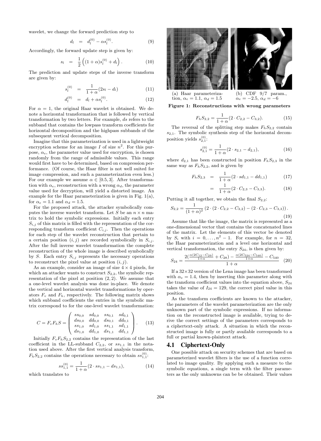wavelet, we change the forward prediction step to

$$
d_l = d_l^{(0)} - \alpha s_l^{(0)}.
$$
 (9)

Accordingly, the forward update step is given by:

$$
s_l = \frac{1}{2} \left( (1+\alpha) s_l^{(0)} + d_l \right). \tag{10}
$$

The prediction and update steps of the inverse transform are given by:

$$
s_l^{(0)} = \frac{1}{1+\alpha}(2s_l - d_l) \tag{11}
$$

$$
d_l^{(0)} = d_l + \alpha s_l^{(0)}.
$$
 (12)

For  $\alpha = 1$ , the original Haar wavelet is obtained. We denote a horizontal transformation that is followed by vertical transformation by two letters. For example, ds refers to the subband that contains the lowpass transform coefficients for horizontal decomposition and the highpass subbands of the subsequent vertical decomposition.

Imagine that this parameterization is used in a lightweight encryption scheme for an image  $I$  of size  $n^2$ . For this purpose,  $\alpha_e$ , the parameter value used for encryption, is chosen randomly from the range of admissible values. This range would first have to be determined, based on compression performance. (Of course, the Haar filter is not well suited for image compression, and such a parameterization even less.) For our example we assume  $\alpha \in [0.5, 3]$ . After transformation with  $\alpha_e$ , reconstruction with a wrong  $\alpha_d$ , the parameter value used for decryption, will yield a distorted image. An example for the Haar parameterization is given in Fig. 1(a), for  $\alpha_e = 1.1$  and  $\alpha_d = 1.5$ .

For the proposed attack, the attacker symbolically computes the inverse wavelet transform. Let S be an  $n \times n$  matrix to hold the symbolic expressions. Initially each entry  $S_{i,j}$  of this matrix is filled with the representation of the corresponding transform coefficient  $C_{i,j}$ . Then the operations for each step of the wavelet reconstruction that pertain to a certain position  $(i, j)$  are recorded symbolically in  $S_{i,j}$ . After the full inverse wavelet transformation the complete reconstruction of the whole image is described symbolically by S. Each entry  $S_{i,j}$  represents the necessary operations to reconstruct the pixel value at position  $(i, j)$ .

As an example, consider an image of size  $4 \times 4$  pixels, for which an attacker wants to construct  $S_{2,2}$ , the symbolic representation of the pixel at position  $(2, 2)$ . We assume that a one-level wavelet analysis was done in-place. We denote the vertical and horizontal wavelet transformations by operators  $F_v$  and  $F_h$ , respectively. The following matrix shows which subband coefficients the entries in the symbolic matrix correspond to for the one-level wavelet transformation:

$$
C = F_v F_h S = \begin{pmatrix} s s_{0,0} & s d_{0,0} & s s_{0,1} & s d_{0,1} \\ d s_{0,0} & d d_{0,0} & d s_{0,1} & d d_{0,1} \\ s s_{1,0} & s d_{1,0} & s s_{1,1} & s d_{1,1} \\ d s_{1,0} & d d_{1,0} & d s_{1,1} & d d_{1,1} \end{pmatrix}.
$$
 (13)

Initially  $F_vF_hS_{2,2}$  contains the representation of the last coefficient in the LL-subband  $C_{2,2}$ , or  $ss_{1,1}$  in the notation used above. After the first vertical analysis transform,  $F<sub>h</sub>S<sub>2,2</sub>$  contains the operations necessary to obtain  $ss^{(0)}_{1,1}$ :

$$
ss_{1,1}^{(0)} = \frac{1}{1+\alpha} (2 \cdot ss_{1,1} - ds_{1,1}), \tag{14}
$$

which translates to



Figure 1: Reconstructions with wrong parameters

$$
F_h S_{2,2} = \frac{1}{1+\alpha} (2 \cdot C_{2,2} - C_{3,2}).
$$
 (15)

The reversal of the splitting step makes  $F_hS_{2,2}$  contain  $s_{2,1}$ . The symbolic synthesis step of the horizontal decomposition yields  $s_{2,1}^{(0)}$ :

$$
s_{2,1}^{(0)} = \frac{1}{1+\alpha} (2 \cdot s_{2,1} - d_{2,1}), \tag{16}
$$

where  $d_{2,1}$  has been constructed in position  $F_hS_{2,3}$  in the same way as  $F<sub>h</sub>S<sub>2,2</sub>$ , and is given by

$$
F_h S_{2,3} = \frac{1}{1+\alpha} (2 \cdot sd_{1,1} - dd_{1,1}) \tag{17}
$$

$$
= \frac{1}{1+\alpha}(2 \cdot C_{2,3} - C_{3,3}). \tag{18}
$$

Putting it all together, we obtain the final  $S_{2,2}$ :

$$
S_{2,2} = \frac{1}{(1+\alpha)^2} \left( 2 \cdot (2 \cdot C_{2,2} - C_{3,2}) - (2 \cdot C_{2,3} - C_{3,3}) \right). \tag{19}
$$

Assume that like the image, the matrix is represented as a one-dimensional vector that contains the concatenated lines of the matrix. Let the elements of this vector be denoted by  $S_i$  with  $i = 0, \ldots, n^2 - 1$ . For example, for  $n = 32$ , the Haar parameterization and a level one horizontal and vertical transformation, the entry  $S_{24}$ , is then given by:

$$
S_{24} = \frac{2\left(\frac{\alpha(2C_{12} - C_{29})}{1 + \alpha} + C_{28}\right) - \frac{\alpha(2C_{524} - C_{540})}{1 + \alpha} - C_{540}}{1 + \alpha} \tag{20}
$$

If a  $32\times32$  version of the Lena image has been transformed with  $\alpha_e = 1.4$ , then by inserting this parameter along with the transform coefficient values into the equation above,  $S_{24}$ takes the value of  $I_{24} = 129$ , the correct pixel value in this position.

As the transform coefficients are known to the attacker, the parameters of the wavelet parameterization are the only unknown part of the symbolic expressions. If no information on the reconstructed image is available, trying to derive the correct settings of the parameters corresponds to a ciphertext-only attack. A situation in which the reconstructed image is fully or partly available corresponds to a full or partial known-plaintext attack.

#### 4.1 Ciphertext-Only

One possible attack on security schemes that are based on parameterized wavelet filters is the use of a function correlated to image quality. By applying such a measure to the symbolic equations, a single term with the filter parameters as the only unknowns can be be obtained. Their values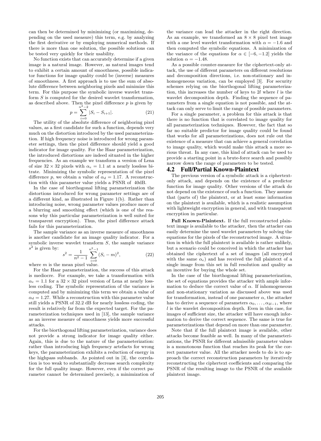can then be determined by minimizing (or maximizing, depending on the used measure) this term, e.g. by analyzing the first derivative or by employing numerical methods. If there is more than one solution, the possible solutions can be tested very quickly for their usability.

No function exists that can accurately determine if a given image is a natural image. However, as natural images tend to exhibit a certain amount of smoothness, possible indicator functions for image quality could be (inverse) measures of smoothness. A first approach is to use the sum of absolute difference between neighboring pixels and minimize this term. For this purpose the symbolic inverse wavelet transform S is computed for the desired wavelet transformation, as described above. Then the pixel difference  $p$  is given by

$$
p = \sum_{i=0}^{n^2 - 2} |S_i - S_{i+1}|.
$$
 (21)

The utility of the absolute difference of neighboring pixel values, as a first candidate for such a function, depends very much on the distortion introduced by the used parameterization. If high frequency noise is introduced for wrong parameter settings, then the pixel difference should yield a good indicator for image quality. For the Haar parameterization, the introduced distortions are indeed situated in the higher frequencies. As an example we transform a version of Lena of size  $32 \times 32$  pixels with  $\alpha_e = 1.1$  at a nearly lossless bitrate. Minimizing the symbolic representation of the pixel difference p, we obtain a value of  $\alpha_d = 1.17$ . A reconstruction with this parameter value yields a PSNR of 40dB.

In the case of biorthogonal lifting parameterization the distortions introduced for wrong parameter settings are of a different kind, as illustrated in Figure 1(b). Rather than introducing noise, wrong parameter values produce more of a blurring and smoothing effect (which is one of the reasons why this particular parameterization is well suited for transparent encryption). Thus, the pixel difference attack fails for this parameterization.

The sample variance as an inverse measure of smoothness is another candidate for an image quality indicator. For a symbolic inverse wavelet transform  $S$ , the sample variance  $s^2$  is given by:

$$
s^{2} = \frac{1}{n^{2} - 1} \sum_{i=0}^{n^{2} - 1} (S_{i} - m)^{2},
$$
 (22)

where *m* is the mean pixel value.

For the Haar parameterization, the success of this attack is mediocre. For example, we take a transformation with  $\alpha_e = 1.1$  for a  $32 \times 32$  pixel version of Lena at nearly lossless coding. The symbolic representation of the variance is computed and by minimizing this term we obtain a value of  $\alpha_d = 1.27$ . While a reconstruction with this parameter value still yields a PSNR of 32.2 dB for nearly lossless coding, the result is relatively far from the expected target. For the parameterization techniques used in [13], the sample variance as an inverse measure of smoothness yields more successful attacks.

For the biorthogonal lifting parameterization, variance does not provide a strong indicator for image quality either. Again, this is due to the nature of the parameterization: rather than introducing high frequency artefacts for wrong keys, the parameterization exhibits a reduction of energy in the highpass subbands. As pointed out in [3], the correlation is too weak to substantially decrease search complexity for the full quality image. However, even if the correct parameter cannot be determined precisely, a minimization of

the variance can lead the attacker in the right direction. As an example, we transformed an  $8 \times 8$  pixel test image with a one level wavelet transformation with  $\alpha = -1.6$  and then computed the symbolic equations. A minimization of the variance of the equations for  $\alpha \in [-6, -1.2]$  yields the solution  $\alpha = -1.48$ .

As a possible counter-measure for the ciphertext-only attack, the use of different parameters on different resolutions and decomposition directions, i.e. non-stationary and inhomogeneous variation, can be employed [3]. For security schemes relying on the biorthogonal lifting parameterization, this increases the number of keys to  $2l$  where  $l$  is the wavelet decomposition depth. Finding the sequence of parameters from a single equation is not possible, and the attack can only serve to limit the range of possible parameters.

For a single parameter, a problem for this attack is that there is no function that is correlated to image quality for all parameterization techniques. However, the fact that so far no suitable predictor for image quality could be found that works for all parameterizations, does not rule out the existence of a measure that can achieve a general correlation to image quality, which would make this attack a more serious threat. In any case, this kind of attack can be used to provide a starting point in a brute-force search and possibly narrow down the range of parameters to be tested.

## 4.2 Full/Partial Known-Plaintext

The previous version of a symbolic attack is a ciphertextonly attack, and depends on the existence of a predictor function for image quality. Other versions of the attack do not depend on the existence of such a function. They assume that (parts of) the plaintext, or at least some information on the plaintext is available, which is a realistic assumption with lightweight encryption in general, and with transparent encryption in particular.

Full Known-Plaintext. If the full reconstructed plaintext image is available to the attacker, then the attacker can easily determine the used wavelet parameters by solving the equations for the pixels of the reconstructed image. A situation in which the full plaintext is available is rather unlikely, but a scenario could be conceived in which the attacker has obtained the ciphertext of a set of images (all encrypted with the same  $\alpha_e$ ) and has received the full plaintext of a single image from this set in full resolution and quality as an incentive for buying the whole set.

In the case of the biorthogonal lifting parameterization, the set of equations provides the attacker with ample information to deduce the correct value of  $\alpha$ . If inhomogeneous and non-stationary variation as discussed above was used for transformation, instead of one parameter  $\alpha$ , the attacker has to derive a sequence of parameters  $\alpha_0, \ldots, \alpha_{2l-1}$ , where l is the wavelet decomposition depth. Even in this case, for images of sufficient size, the attacker will have enough information to derive the correct sequence. The same is true for parameterizations that depend on more than one parameter.

Note that if the full plaintext image is available, other attacks become feasible as well. In many of the parameterizations, the PSNR for different admissible parameter values is a monotonous function that reaches its peak for the correct parameter value. All the attacker needs to do is to approach the correct reconstruction parameters by iteratively reconstructing the ciphertext coefficients and comparing the PSNR of the resulting image to the PSNR of the available plaintext image.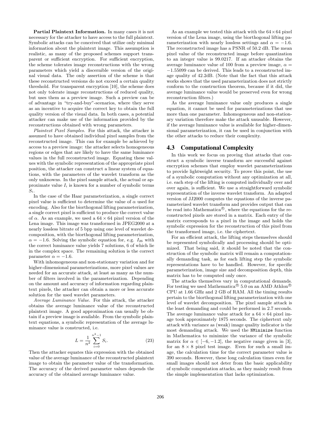Partial Plaintext Information. In many cases it is not necessary for the attacker to have access to the full plaintext. Symbolic attacks can be conceived that utilize only minimal information about the plaintext image. This assumption is realistic, as many of the proposed schemes support transparent or sufficient encryption. For sufficient encryption, the scheme tolerates image reconstructions with the wrong parameters which yield a discernible version of the original visual data. The only assertion of the scheme is that these reconstructed versions do not exceed a certain quality threshold. For transparent encryption [10], the scheme does not only tolerate image reconstructions of reduced quality, but uses them as a preview image. Such a preview can be of advantage in "try-and-buy"-scenarios, where they serve as an incentive to acquire the correct key to obtain the full quality version of the visual data. In both cases, a potential attacker can make use of the information provided by the reconstructions obtained with wrong parameters.

Plaintext Pixel Samples. For this attack, the attacker is assumed to have obtained individual pixel samples from the reconstructed image. This can for example be achieved by access to a preview image: the attacker selects homogeneous regions or edges that are likely to have the same luminance values in the full reconstructed image. Equating these values with the symbolic representation of the appropriate pixel position, the attacker can construct a linear system of equations, with the parameters of the wavelet transform as the only unknowns. In the pixel sample attack, the actual or approximate value  $I_i$  is known for a number of symbolic terms  $S_i$ .

In the case of the Haar parameterization, a single correct pixel value is sufficient to determine the value of  $\alpha$  used for encoding. Also for the biorthogonal lifting parameterization, a single correct pixel is sufficient to produce the correct value of  $\alpha$ . As an example, we used a 64  $\times$  64 pixel version of the Lena image. This image was transformed in JPEG2000 at a nearly lossless bitrate of 5 bpp using one level of wavelet decomposition, with the biorthogonal lifting parameterization,  $\alpha = -1.6$ . Solving the symbolic equation for, e.g.  $I_{26}$  with the correct luminance value yields 7 solutions, 6 of which lie in the complex space. The remaining solution is the correct parameter  $\alpha = -1.6$ .

With inhomogeneous and non-stationary variation and for higher-dimensional parameterizations, more pixel values are needed for an accurate attack, at least as many as the number of filters involved in the parameterization. Depending on the amount and accuracy of information regarding plaintext pixels, the attacker can obtain a more or less accurate solution for the used wavelet parameters.

Average Luminance Value. For this attack, the attacker obtains the average luminance value of the reconstructed plaintext image. A good approximation can usually be obtain if a preview image is available. From the symbolic plaintext equations, a symbolic representation of the average luminance value is constructed, i.e.

$$
L = \frac{1}{n^2} \sum_{i=0}^{n^2 - 1} S_i.
$$
 (23)

Then the attacker equates this expression with the obtained value of the average luminance of the reconstructed plaintext image to obtain the parameter value of the transformation. The accuracy of the derived parameter values depends the accuracy of the obtained average luminance value.

As an example we tested this attack with the  $64 \times 64$  pixel version of the Lena image, using the biorthogonal lifting parameterization with nearly lossless settings and  $\alpha = -1.6$ . The reconstructed image has a PSNR of 50.2 dB. The mean pixel value of the reconstructed image before quantization to an integer value is 99.0217. If an attacker obtains the average luminance value of 100 from a preview image,  $\alpha =$ −1.55099 can be derived. This leads to a reconstructed image quality of 42.2dB. (Note that the fact that this attack works shows that the used parameterization does not strictly conform to the construction theorem, because if it did, the average luminance value would be preserved even for wrong reconstruction filters.)

As the average luminance value only produces a single equation, it cannot be used for parameterizations that use more than one parameter. Inhomogeneous and non-stationary variation therefore make the attack unusable. However, if the average luminance value is available for higher-dimensional parameterization, it can be used in conjunction with the other attacks to reduce their complexity.

## 4.3 Computational Complexity

In this work we focus on proving that attacks that construct a symbolic inverse transform are successful against encryption schemes that employ wavelet parameterizations to provide lightweight security. To prove this point, the use of a symbolic computation without any optimization at all, i.e. each step of the lifting is computed individually over and over again, is sufficient. We use a straightforward symbolic representation of the inverse wavelet transform. An adapted version of JJ2000 computes the equations of the inverse parameterized wavelet transform and provides output that can be read into Mathematica<sup>®</sup>, where the equations for the reconstructed pixels are stored in a matrix. Each entry of the matrix corresponds to a pixel in the image and holds the symbolic expression for the reconstruction of this pixel from the transformed image, i.e. the ciphertext.

For an efficient attack, the lifting steps themselves should be represented symbolically and processing should be optimized. That being said, it should be noted that the construction of the symbolic matrix will remain a computationally demanding task, as for each lifting step the symbolic representations have to be handled. However, for specific parameterization, image size and decomposition depth, this matrix has to be computed only once.

The attacks themselves vary in computational demands. For testing we used Mathematica<sup>®</sup> 5.0 on an AMD Athlon<sup>®</sup> CPU at 1.66 GHz and 2 GB of RAM. All the timing results pertain to the biorthogonal lifting parameterization with one level of wavelet decomposition. The pixel sample attack is the least demanding and could be performed in 2.7 seconds. The average luminance value attack for a  $64 \times 64$  pixel image took approximately 1875 seconds. The ciphertext only attack with variance as (weak) image quality indicator is the most demanding attack. We used the NMinimize function in Mathematica to minimize the variance of the symbolic matrix for  $\alpha \in [-6, -1.2]$ , the negative range given in [3], for an  $8 \times 8$  pixel test image. Even for such a small image, the calculation time for the correct parameter value is 390 seconds. However, these long calculation times even for small images should not deter from the basic applicability of symbolic computation attacks, as they mainly result from the simple implementation that lacks optimization.